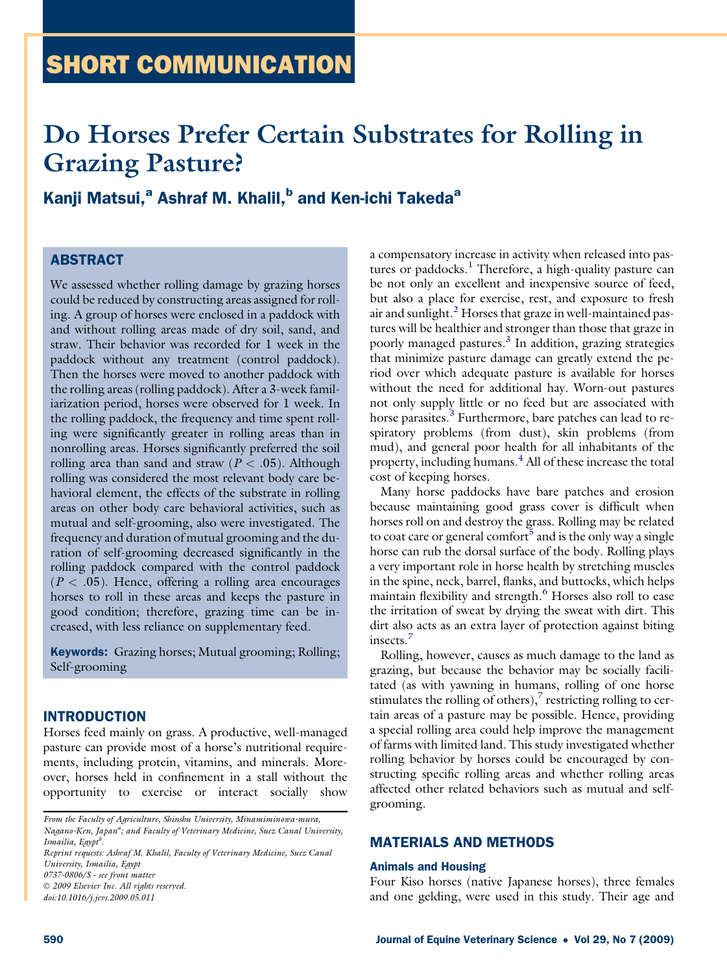# Do Horses Prefer Certain Substrates for Rolling in Grazing Pasture?

Kanji Matsui,<sup>a</sup> Ashraf M. Khalil,<sup>b</sup> and Ken-ichi Takeda<sup>a</sup>

# ABSTRACT

We assessed whether rolling damage by grazing horses could be reduced by constructing areas assigned for rolling. A group of horses were enclosed in a paddock with and without rolling areas made of dry soil, sand, and straw. Their behavior was recorded for 1 week in the paddock without any treatment (control paddock). Then the horses were moved to another paddock with the rolling areas (rolling paddock). After a 3-week familiarization period, horses were observed for 1 week. In the rolling paddock, the frequency and time spent rolling were significantly greater in rolling areas than in nonrolling areas. Horses significantly preferred the soil rolling area than sand and straw ( $P < .05$ ). Although rolling was considered the most relevant body care behavioral element, the effects of the substrate in rolling areas on other body care behavioral activities, such as mutual and self-grooming, also were investigated. The frequency and duration of mutual grooming and the duration of self-grooming decreased significantly in the rolling paddock compared with the control paddock  $(P < .05)$ . Hence, offering a rolling area encourages horses to roll in these areas and keeps the pasture in good condition; therefore, grazing time can be increased, with less reliance on supplementary feed.

**Keywords:** Grazing horses; Mutual grooming; Rolling; Self-grooming

# INTRODUCTION

Horses feed mainly on grass. A productive, well-managed pasture can provide most of a horse's nutritional requirements, including protein, vitamins, and minerals. Moreover, horses held in confinement in a stall without the opportunity to exercise or interact socially show

Reprint requests: Ashraf M. Khalil, Faculty of Veterinary Medicine, Suez Canal University, Ismailia, Egypt 0737-0806/\$ - see front matter

doi:10.1016/j.jevs.2009.05.011

a compensatory increase in activity when released into pastures or paddocks. $<sup>1</sup>$  $<sup>1</sup>$  $<sup>1</sup>$  Therefore, a high-quality pasture can</sup> be not only an excellent and inexpensive source of feed, but also a place for exercise, rest, and exposure to fresh air and sunlight.<sup>[2](#page-4-0)</sup> Horses that graze in well-maintained pastures will be healthier and stronger than those that graze in poorly managed pastures.<sup>[3](#page-4-0)</sup> In addition, grazing strategies that minimize pasture damage can greatly extend the period over which adequate pasture is available for horses without the need for additional hay. Worn-out pastures not only supply little or no feed but are associated with horse parasites.<sup>[3](#page-4-0)</sup> Furthermore, bare patches can lead to respiratory problems (from dust), skin problems (from mud), and general poor health for all inhabitants of the property, including humans.[4](#page-4-0) All of these increase the total cost of keeping horses.

Many horse paddocks have bare patches and erosion because maintaining good grass cover is difficult when horses roll on and destroy the grass. Rolling may be related to coat care or general comfort<sup>[5](#page-4-0)</sup> and is the only way a single horse can rub the dorsal surface of the body. Rolling plays a very important role in horse health by stretching muscles in the spine, neck, barrel, flanks, and buttocks, which helps maintain flexibility and strength.<sup>[6](#page-4-0)</sup> Horses also roll to ease the irritation of sweat by drying the sweat with dirt. This dirt also acts as an extra layer of protection against biting insects.<sup>[7](#page-4-0)</sup>

Rolling, however, causes as much damage to the land as grazing, but because the behavior may be socially facilitated (as with yawning in humans, rolling of one horse stimulates the rolling of others), $\frac{7}{7}$  $\frac{7}{7}$  $\frac{7}{7}$  restricting rolling to certain areas of a pasture may be possible. Hence, providing a special rolling area could help improve the management of farms with limited land. This study investigated whether rolling behavior by horses could be encouraged by constructing specific rolling areas and whether rolling areas affected other related behaviors such as mutual and selfgrooming.

# MATERIALS AND METHODS

#### Animals and Housing

Four Kiso horses (native Japanese horses), three females and one gelding, were used in this study. Their age and

From the Faculty of Agriculture, Shinshu University, Minamiminowa-mura, Nagano-Ken, Japan<sup>a</sup>; and Faculty of Veterinary Medicine, Suez Canal University, Ismailia, Egypt<sup>b</sup>.

<sup>-</sup> 2009 Elsevier Inc. All rights reserved.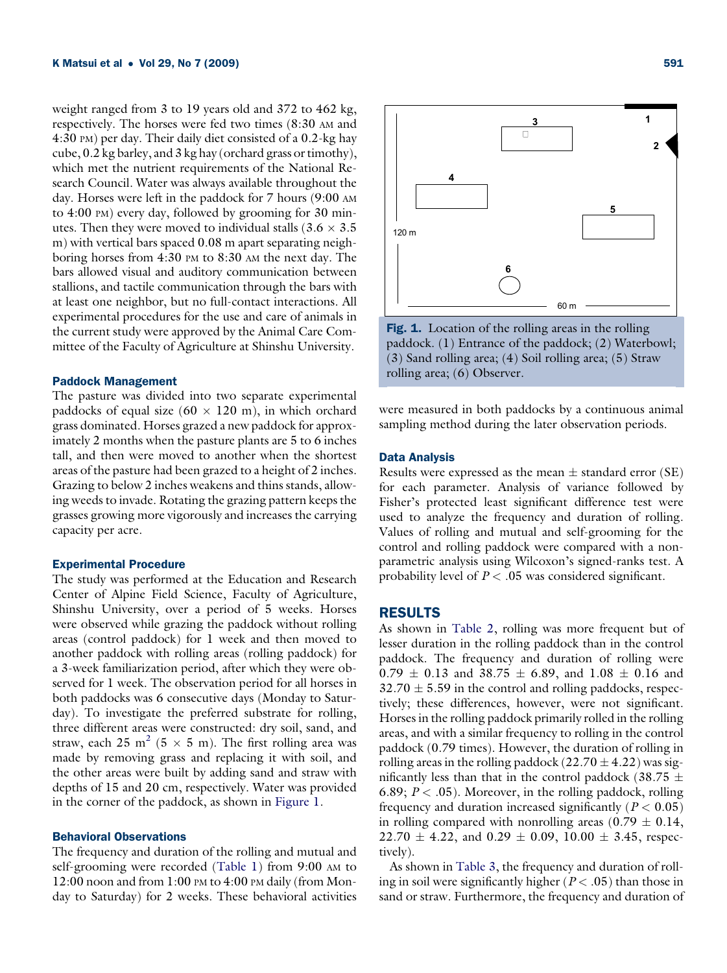weight ranged from 3 to 19 years old and 372 to 462 kg, respectively. The horses were fed two times (8:30 AM and 4:30 PM) per day. Their daily diet consisted of a 0.2-kg hay cube, 0.2 kg barley, and 3 kg hay (orchard grass or timothy), which met the nutrient requirements of the National Research Council. Water was always available throughout the day. Horses were left in the paddock for 7 hours (9:00 AM to 4:00 PM) every day, followed by grooming for 30 minutes. Then they were moved to individual stalls  $(3.6 \times 3.5)$ m) with vertical bars spaced 0.08 m apart separating neighboring horses from 4:30 PM to 8:30 AM the next day. The bars allowed visual and auditory communication between stallions, and tactile communication through the bars with at least one neighbor, but no full-contact interactions. All experimental procedures for the use and care of animals in the current study were approved by the Animal Care Committee of the Faculty of Agriculture at Shinshu University.

#### Paddock Management

The pasture was divided into two separate experimental paddocks of equal size (60  $\times$  120 m), in which orchard grass dominated. Horses grazed a new paddock for approximately 2 months when the pasture plants are 5 to 6 inches tall, and then were moved to another when the shortest areas of the pasture had been grazed to a height of 2 inches. Grazing to below 2 inches weakens and thins stands, allowing weeds to invade. Rotating the grazing pattern keeps the grasses growing more vigorously and increases the carrying capacity per acre.

#### Experimental Procedure

The study was performed at the Education and Research Center of Alpine Field Science, Faculty of Agriculture, Shinshu University, over a period of 5 weeks. Horses were observed while grazing the paddock without rolling areas (control paddock) for 1 week and then moved to another paddock with rolling areas (rolling paddock) for a 3-week familiarization period, after which they were observed for 1 week. The observation period for all horses in both paddocks was 6 consecutive days (Monday to Saturday). To investigate the preferred substrate for rolling, three different areas were constructed: dry soil, sand, and straw, each [2](#page-4-0)5 m<sup>2</sup> (5  $\times$  5 m). The first rolling area was made by removing grass and replacing it with soil, and the other areas were built by adding sand and straw with depths of 15 and 20 cm, respectively. Water was provided in the corner of the paddock, as shown in Figure 1.

#### Behavioral Observations

The frequency and duration of the rolling and mutual and self-grooming were recorded ([Table 1\)](#page-2-0) from 9:00 AM to 12:00 noon and from 1:00 PM to 4:00 PM daily (from Monday to Saturday) for 2 weeks. These behavioral activities



Fig. 1. Location of the rolling areas in the rolling paddock. (1) Entrance of the paddock; (2) Waterbowl; (3) Sand rolling area; (4) Soil rolling area; (5) Straw rolling area; (6) Observer.

were measured in both paddocks by a continuous animal sampling method during the later observation periods.

#### Data Analysis

Results were expressed as the mean  $\pm$  standard error (SE) for each parameter. Analysis of variance followed by Fisher's protected least significant difference test were used to analyze the frequency and duration of rolling. Values of rolling and mutual and self-grooming for the control and rolling paddock were compared with a nonparametric analysis using Wilcoxon's signed-ranks test. A probability level of  $P < .05$  was considered significant.

### RESULTS

As shown in [Table 2,](#page-3-0) rolling was more frequent but of lesser duration in the rolling paddock than in the control paddock. The frequency and duration of rolling were  $0.79 \pm 0.13$  and  $38.75 \pm 6.89$ , and  $1.08 \pm 0.16$  and  $32.70 \pm 5.59$  in the control and rolling paddocks, respectively; these differences, however, were not significant. Horses in the rolling paddock primarily rolled in the rolling areas, and with a similar frequency to rolling in the control paddock (0.79 times). However, the duration of rolling in rolling areas in the rolling paddock ( $22.70 \pm 4.22$ ) was significantly less than that in the control paddock (38.75  $\pm$ 6.89;  $P < .05$ ). Moreover, in the rolling paddock, rolling frequency and duration increased significantly ( $P < 0.05$ ) in rolling compared with nonrolling areas  $(0.79 \pm 0.14,$  $22.70 \pm 4.22$ , and  $0.29 \pm 0.09$ ,  $10.00 \pm 3.45$ , respectively).

As shown in [Table 3,](#page-3-0) the frequency and duration of rolling in soil were significantly higher ( $P < .05$ ) than those in sand or straw. Furthermore, the frequency and duration of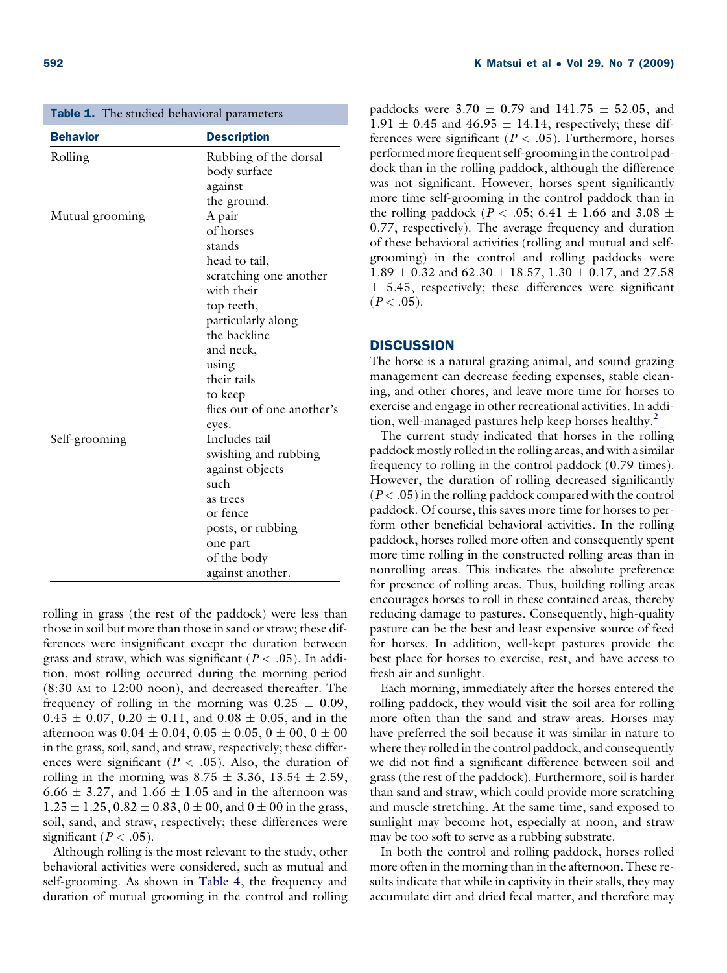<span id="page-2-0"></span>

| Table 1. The studied behavioral parameters |                               |  |  |
|--------------------------------------------|-------------------------------|--|--|
| <b>Behavior</b>                            | <b>Description</b>            |  |  |
| Rolling                                    | Rubbing of the dorsal         |  |  |
|                                            | body surface                  |  |  |
|                                            | against                       |  |  |
|                                            | the ground.                   |  |  |
| Mutual grooming                            | A pair                        |  |  |
|                                            | of horses                     |  |  |
|                                            | stands                        |  |  |
|                                            | head to tail,                 |  |  |
|                                            | scratching one another        |  |  |
|                                            | with their                    |  |  |
|                                            | top teeth,                    |  |  |
|                                            | particularly along            |  |  |
|                                            | the backline                  |  |  |
|                                            | and neck,                     |  |  |
|                                            | using                         |  |  |
|                                            | their tails                   |  |  |
|                                            | to keep                       |  |  |
|                                            | flies out of one another's    |  |  |
|                                            | eyes.                         |  |  |
| Self-grooming                              | Includes tail                 |  |  |
|                                            | swishing and rubbing          |  |  |
|                                            | against objects               |  |  |
|                                            | such                          |  |  |
|                                            | as trees<br>or fence          |  |  |
|                                            |                               |  |  |
|                                            | posts, or rubbing<br>one part |  |  |
|                                            | of the body                   |  |  |
|                                            | against another.              |  |  |

rolling in grass (the rest of the paddock) were less than those in soil but more than those in sand or straw; these differences were insignificant except the duration between grass and straw, which was significant ( $P < .05$ ). In addition, most rolling occurred during the morning period (8:30 AM to 12:00 noon), and decreased thereafter. The frequency of rolling in the morning was  $0.25 \pm 0.09$ ,  $0.45 \pm 0.07$ ,  $0.20 \pm 0.11$ , and  $0.08 \pm 0.05$ , and in the afternoon was  $0.04 \pm 0.04, 0.05 \pm 0.05, 0 \pm 00, 0 \pm 00$ in the grass, soil, sand, and straw, respectively; these differences were significant ( $P < .05$ ). Also, the duration of rolling in the morning was  $8.75 \pm 3.36$ ,  $13.54 \pm 2.59$ ,  $6.66 \pm 3.27$ , and  $1.66 \pm 1.05$  and in the afternoon was  $1.25 \pm 1.25$ ,  $0.82 \pm 0.83$ ,  $0 \pm 00$ , and  $0 \pm 00$  in the grass, soil, sand, and straw, respectively; these differences were significant ( $P < .05$ ).

Although rolling is the most relevant to the study, other behavioral activities were considered, such as mutual and self-grooming. As shown in [Table 4,](#page-3-0) the frequency and duration of mutual grooming in the control and rolling paddocks were  $3.70 \pm 0.79$  and  $141.75 \pm 52.05$ , and  $1.91 \pm 0.45$  and  $46.95 \pm 14.14$ , respectively; these differences were significant ( $P < .05$ ). Furthermore, horses performed more frequent self-grooming in the control paddock than in the rolling paddock, although the difference was not significant. However, horses spent significantly more time self-grooming in the control paddock than in the rolling paddock ( $P < .05$ ; 6.41  $\pm$  1.66 and 3.08  $\pm$ 0.77, respectively). The average frequency and duration of these behavioral activities (rolling and mutual and selfgrooming) in the control and rolling paddocks were  $1.89 \pm 0.32$  and  $62.30 \pm 18.57$ ,  $1.30 \pm 0.17$ , and 27.58  $\pm$  5.45, respectively; these differences were significant  $(P < .05)$ .

## **DISCUSSION**

The horse is a natural grazing animal, and sound grazing management can decrease feeding expenses, stable cleaning, and other chores, and leave more time for horses to exercise and engage in other recreational activities. In addi-tion, well-managed pastures help keep horses healthy.<sup>[2](#page-4-0)</sup>

The current study indicated that horses in the rolling paddock mostly rolled in the rolling areas, and with a similar frequency to rolling in the control paddock (0.79 times). However, the duration of rolling decreased significantly  $(P < .05)$  in the rolling paddock compared with the control paddock. Of course, this saves more time for horses to perform other beneficial behavioral activities. In the rolling paddock, horses rolled more often and consequently spent more time rolling in the constructed rolling areas than in nonrolling areas. This indicates the absolute preference for presence of rolling areas. Thus, building rolling areas encourages horses to roll in these contained areas, thereby reducing damage to pastures. Consequently, high-quality pasture can be the best and least expensive source of feed for horses. In addition, well-kept pastures provide the best place for horses to exercise, rest, and have access to fresh air and sunlight.

Each morning, immediately after the horses entered the rolling paddock, they would visit the soil area for rolling more often than the sand and straw areas. Horses may have preferred the soil because it was similar in nature to where they rolled in the control paddock, and consequently we did not find a significant difference between soil and grass (the rest of the paddock). Furthermore, soil is harder than sand and straw, which could provide more scratching and muscle stretching. At the same time, sand exposed to sunlight may become hot, especially at noon, and straw may be too soft to serve as a rubbing substrate.

In both the control and rolling paddock, horses rolled more often in the morning than in the afternoon. These results indicate that while in captivity in their stalls, they may accumulate dirt and dried fecal matter, and therefore may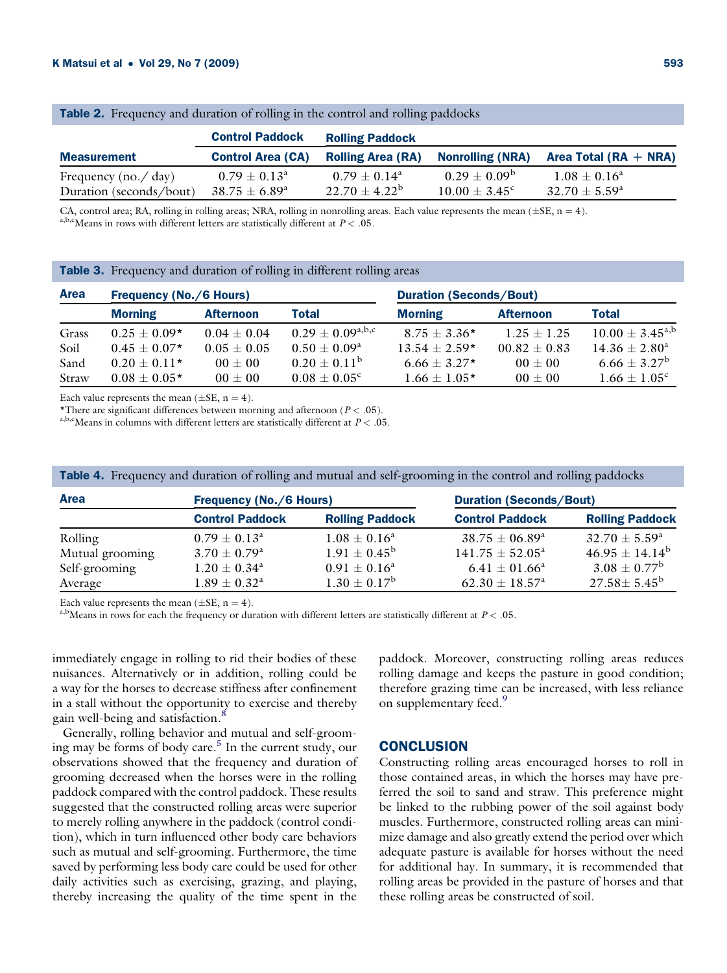|                         | <b>Control Paddock</b>        | <b>Rolling Paddock</b>   |                          |                           |
|-------------------------|-------------------------------|--------------------------|--------------------------|---------------------------|
| <b>Measurement</b>      | <b>Control Area (CA)</b>      | <b>Rolling Area (RA)</b> | <b>Nonrolling (NRA)</b>  | Area Total ( $RA + NRA$ ) |
| Frequency $(no./ day)$  | $0.79 \pm 0.13^{\circ}$       | $0.79 \pm 0.14^{\circ}$  | $0.29 \pm 0.09^{\rm b}$  | $1.08 \pm 0.16^a$         |
| Duration (seconds/bout) | $38.75 \pm 6.89^{\mathrm{a}}$ | $22.70 \pm 4.22^{\rm b}$ | $10.00 \pm 3.45^{\circ}$ | $32.70 \pm 5.59^{\circ}$  |

#### <span id="page-3-0"></span>Table 2. Frequency and duration of rolling in the control and rolling paddocks

CA, control area; RA, rolling in rolling areas; NRA, rolling in nonrolling areas. Each value represents the mean  $(\pm SE, n = 4)$ .

a,b,cMeans in rows with different letters are statistically different at  $P < .05$ .

|  |  | <b>Table 3.</b> Frequency and duration of rolling in different rolling areas |
|--|--|------------------------------------------------------------------------------|
|  |  |                                                                              |

| <b>Area</b> | <b>Frequency (No./6 Hours)</b> |                  |                             | <b>Duration (Seconds/Bout)</b> |                  |                                      |
|-------------|--------------------------------|------------------|-----------------------------|--------------------------------|------------------|--------------------------------------|
|             | <b>Morning</b>                 | <b>Afternoon</b> | Total                       | <b>Morning</b>                 | <b>Afternoon</b> | Total                                |
| Grass       | $0.25 \pm 0.09*$               | $0.04 \pm 0.04$  | $0.29 \pm 0.09^{\rm a,b,c}$ | $8.75 \pm 3.36*$               | $1.25 + 1.25$    | $10.00 \pm 3.45^{\text{a},\text{b}}$ |
| Soil        | $0.45 + 0.07*$                 | $0.05 + 0.05$    | $0.50 \pm 0.09^{\rm a}$     | $13.54 \pm 2.59*$              | $00.82 \pm 0.83$ | $14.36 \pm 2.80^{\circ}$             |
| Sand        | $0.20 \pm 0.11*$               | $00 \pm 00$      | $0.20 \pm 0.11^{\rm b}$     | $6.66 \pm 3.27*$               | $00 \pm 00$      | $6.66 \pm 3.27^b$                    |
| Straw       | $0.08 \pm 0.05*$               | $00 \pm 00$      | $0.08 \pm 0.05^{\circ}$     | $1.66 \pm 1.05*$               | $00 \pm 00$      | $1.66 \pm 1.05^{\circ}$              |

Each value represents the mean ( $\pm$ SE, n = 4).

\*There are significant differences between morning and afternoon ( $P < .05$ ).

<sup>a,b,c</sup>Means in columns with different letters are statistically different at  $P < .05$ .

| <b>Area</b>     | <b>Frequency (No./6 Hours)</b> |                         | <b>Duration (Seconds/Bout)</b> |                          |  |
|-----------------|--------------------------------|-------------------------|--------------------------------|--------------------------|--|
|                 | <b>Control Paddock</b>         | <b>Rolling Paddock</b>  | <b>Control Paddock</b>         | <b>Rolling Paddock</b>   |  |
| Rolling         | $0.79 \pm 0.13^{\rm a}$        | $1.08 \pm 0.16^a$       | $38.75 \pm 06.89^{\rm a}$      | $32.70 \pm 5.59^{\circ}$ |  |
| Mutual grooming | $3.70 \pm 0.79^{\rm a}$        | $1.91 \pm 0.45^{\rm b}$ | $141.75 \pm 52.05^{\circ}$     | $46.95 \pm 14.14^b$      |  |
| Self-grooming   | $1.20 \pm 0.34^{\rm a}$        | $0.91 \pm 0.16^a$       | $6.41 \pm 01.66^a$             | $3.08 \pm 0.77^{\rm b}$  |  |
| Average         | $1.89 \pm 0.32^{\rm a}$        | $1.30 \pm 0.17^b$       | $62.30 \pm 18.57^{\rm a}$      | $27.58 \pm 5.45^{\rm b}$ |  |

Table 4. Frequency and duration of rolling and mutual and self-grooming in the control and rolling paddocks

Each value represents the mean ( $\pm$ SE, n = 4).

<sup>a,b</sup>Means in rows for each the frequency or duration with different letters are statistically different at  $P < .05$ .

immediately engage in rolling to rid their bodies of these nuisances. Alternatively or in addition, rolling could be a way for the horses to decrease stiffness after confinement in a stall without the opportunity to exercise and thereby gain well-being and satisfaction.<sup>[8](#page-4-0)</sup>

Generally, rolling behavior and mutual and self-grooming may be forms of body care. $5$  In the current study, our observations showed that the frequency and duration of grooming decreased when the horses were in the rolling paddock compared with the control paddock. These results suggested that the constructed rolling areas were superior to merely rolling anywhere in the paddock (control condition), which in turn influenced other body care behaviors such as mutual and self-grooming. Furthermore, the time saved by performing less body care could be used for other daily activities such as exercising, grazing, and playing, thereby increasing the quality of the time spent in the paddock. Moreover, constructing rolling areas reduces rolling damage and keeps the pasture in good condition; therefore grazing time can be increased, with less reliance on supplementary feed.<sup>[9](#page-4-0)</sup>

#### **CONCLUSION**

Constructing rolling areas encouraged horses to roll in those contained areas, in which the horses may have preferred the soil to sand and straw. This preference might be linked to the rubbing power of the soil against body muscles. Furthermore, constructed rolling areas can minimize damage and also greatly extend the period over which adequate pasture is available for horses without the need for additional hay. In summary, it is recommended that rolling areas be provided in the pasture of horses and that these rolling areas be constructed of soil.